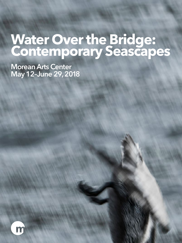# **Water Over the Bridge: Contemporary Seascapes**

**Morean Arts Center May 12–June 29, 2018**

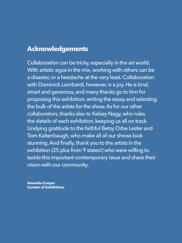# **Acknowledgements**

Collaboration can be tricky, especially in the art world. With artistic egos in the mix, working with others can be a disaster, or a headache at the very least. Collaboration with Dominick Lombardi, however, is a joy. He is kind, smart and generous, and many thanks go to him for proposing this exhibition, writing the essay and selecting the bulk of the artists for the show. As for our other collaborators, thanks also to Kelsey Nagy, who rules the details of each exhibition, keeping us all on track. Undying gratitude to the faithful Betsy Orbe Lester and Tom Kaltenbaugh, who make all of our shows look stunning. And finally, thank you to the artists in the exhibition (25 plus from 9 states!) who were willing to tackle this important contemporary issue and share their vision with our community.

**Amanda Cooper Curator of Exhibitions**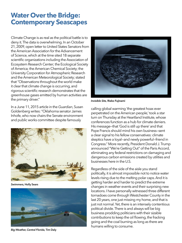# **Water Over the Bridge: Contemporary Seascapes**

Climate Change is as real as the political battle is to deny it. The data is overwhelming. In an October 21, 2009, open letter to United States Senators from the American Association for the Advancement of Science, which at the time sited 18 separate scientific organizations including the Association of Ecosystem Research Center; the Ecological Society of America; the American Chemical Society; the University Corporation for Atmospheric Research and the American Meteorological Society; stated that "Observations throughout the world make it clear that climate change is occurring, and rigorous scientific research demonstrates that the greenhouse gases emitted by human activities are the primary driver."

In a June 11, 2015 article in the *Guardian*, Susan Goldenberg writes: "Oklahoma senator James Inhofe, who now chairs the Senate environment and public works committee despite famously



*Swimmers,* **Holly Sears**



*Big Weather, Central Florida,* **Tim Daly**



*Invisible Site,* **Rieko Fujinami**

calling global warming 'the greatest hoax ever perpetrated on the American people,' took a star turn on Thursday at the Heartland Institute, whose conferences function as a hub for climate deniers. His message—that 'God is still up there' and that Pope Francis should mind his own business—sent a clear signal to his fellow conservatives: climate skeptics have a loyal—and newly powerful—friend in Congress." More recently, President Donald J. Trump announced "We're Getting Out" of the Paris Accord, eliminating any federal restrictions on damaging and dangerous carbon emissions created by utilities and businesses here in the U.S.

Regardless of the side of the aisle you stand politically, it is almost impossible not to notice water levels rising due to the melting polar caps. And it is getting harder and harder to predict the extreme changes in weather events and their surprising new locations. I have personally witnessed three different tornadoes come through Westchester County in the last 20 years, one just missing my home, and that is just not normal. Yet, there is an intensely contentious political divide. There is and always will be big business prodding politicians with their sizable contributions to keep the oil flowing, the fracking going and the coal burning as long as there are humans willing to consume.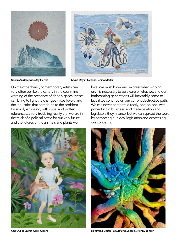



*Destiny's Metaphor,* **Jay Herres**

*Game Day in Oceana,* **China Marks**

On the other hand, contemporary artists can very often be like the canary in the coal mine warning of the presence of deadly gases. Artists can bring to light the changes in sea levels, and the industries that contribute to the problem by simply exposing, with visual and written references, a very troubling reality that we are in the thick of a political battle for our very future, and the futures of the animals and plants we



on. It is necessary to be aware of what we, and our forthcoming generations will inevitably come to face if we continue on our current destructive path. We can never compete directly, one-on-one, with powerful big business, and the legislation and legislators they finance, but we can spread the word by contacting our local legislators and expressing our concerns.

love. We must know and express what is going



*Fish Out of Water,* **Carol Cleere** *Dominion Under (Bound and Loosed),* **Kenny Jensen**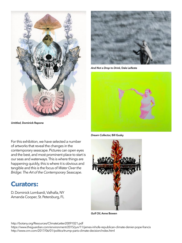

*Untitled,* **Dominick Rapone**

For this exhibition, we have selected a number of artworks that reveal the changes in the contemporary seascape. Pictures can open eyes and the best, and most prominent place to start is our seas and waterways. This is where things are happening quickly, this is where it is obvious and tangible and this is the focus of *Water Over the Bridge: The Art of the Contemporary Seascape*.

# **Curators:**

D. Dominick Lombardi, Valhalla, NY Amanda Cooper, St. Petersburg, FL



*And Not a Drop to Drink,* **Dale Leifeste**



*Dream Collector,* **Bill Gusky**



*Gulf Oil,* **Anne Bowen**

http://botany.org/Resources/ClimateLetter20091021.pdf

https://www.theguardian.com/environment/2015/jun/11/james-inhofe-republican-climate-denier-pope-francis http://www.cnn.com/2017/06/01/politics/trump-paris-climate-decision/index.html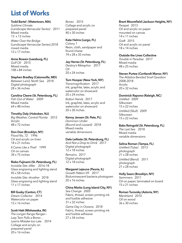# **List of Works**

# **Todd Bartel (Watertown, MA)**

*Sublime Climate (Landscape Vernacular Series)* 2011 Mixed media 13 x 13 inches

*Water Over the Bridge*  (Landscape Vernacular Series) 2018 mixed media 12 x 17 inches

#### **Anne Bowen (Leesburg, FL)**

*Gulf Oil* 2015 Mixed media 108 x 84 inches

# **Stephen Bradley (Catonsville, MD)**

*Between Land, North Sea* 2018 Digital photograph 28 x 36 inches

# **Carolina Cleere (St. Petersburg, FL)** *Fish Out of Water* 2009

Mixed media 64 x 48 inches

#### **Timothy Daly (Hoboken, NJ)**

*Big Weather, Central Florida* 2012 **Acrylic** 48 x 72 inches

# **Don Doe (Brooklyn, NY)**

*Flood No. 72* 1996 Oil and acrylic on linen 18 x 21 inches *It Came Like a Thief* 1999 Oil on canvas 34 x 75 inches

# **Rieko Fujinami (St. Petersburg, FL)**

*Invisible Site—After* 2016-18 Glass engraving and lighting stand 45 x 58 inches

*Invisible Site—Another* 2018 Glass engraving and lighting stand 11 x 17 inches

# **Bill Gusky (Canton, CT)**

*Dream Collector* 2014 Watercolor on paper 12 x 16 inches

# **Scott Hatt (Mishawaka, IN)**

*The Longer Range Ranger— Lazy Twin Pulls a Boner… Learns Mistake too Late* 2014 Collage and acrylic on prepared panel  $20 \times 16$  inches

*Bones* 2015 Collage and acrylic on prepared panel 40 x 30 inches

#### **Kate Helms (Largo, FL)**

*Colony 1*  Resin, cloth, sandpaper and found chaise 74 x 28 x 35 inches

#### **Jay Herres (St. Petersburg, FL)** *Destiny's Metaphor* 2017

Oil 20 x 24 inches

#### **Tom Hooper (New York, NY)**

*Transmogrification* 2017 Ink, graphite, latex, acrylic and watercolor on showcard 20 x 24 inches *Button Hands* 2017 Ink, graphite, latex, acrylic and watercolor on showcard

20 x 30 inches

# **Kenny Jensen (St. Pete, FL)**

*Dominion Under (Bound and Loosed)* 2018 Mixed media variable dimensions

# **Dale Leifeste (St. Petersburg, FL)**

*And Not a Drop to Drink* 2017 Digital photograph 12 x 18 inches *Remains* 2017 Digital photograph  $12 \times 18$  inches

# **Margaret Lejeune (Peoria, IL)**

*Growth Pattern 09* 2017 Bioluminescent bacteria photogram 20 x 16 inches

# **China Marks (Long Island City, NY)**

*Sea Change* 2005 Fabric, thread, screen printing ink and fusible adhesive 31 x 32 inches

*Game Day in Oceana* 2018 Fabric, thread, screen printing ink and fusible adhesive 27 x 34 inches

# **Brant Moorefield (Jackson Heights, NY)**

*Parapet* 2013 Oil and acrylic on paper mounted on canvas 14 x 11 inches *Graft* 2015 Oil and acrylic on panel 18 x 14 inches

#### **Outside the Lines Collective**

*Trouble in Paradise* 2017 Mixed media 48 x 25 inches

#### **Steven Purtee (Cortlandt Manor, NY)**

*The Aldabra Banded Snail Question* 2008-2018 **Acrylic** 20 x 32 inches

#### **Dominick Rapone (Raleigh, NC)**

*Untitled* 2009 **Silkscreen** 15 x 22 inches *Untitled (Skull)* 2009 Silkscreen 15 x 22 inches

# **Babs Reingold (St. Petersburg, FL)**

*The Last Sea* 2018 Mixed media variable dimensions

# **Selina Roman (Tampa, FL)**

*Untitled (Tube)* 2013 photograph 21 x 28 inches *Untitled (Bend)* 2011 photograph 21 x 28 inches

# **Holly Sears (Brooklyn, NY)**

*Swimmers* 2011 Oil on paper, laminated on board 15 x 21 inches

#### **Roman Turovsky (Astoria, NY)**

*Marshland* 2010 Oil on wood 36 x 30 inches